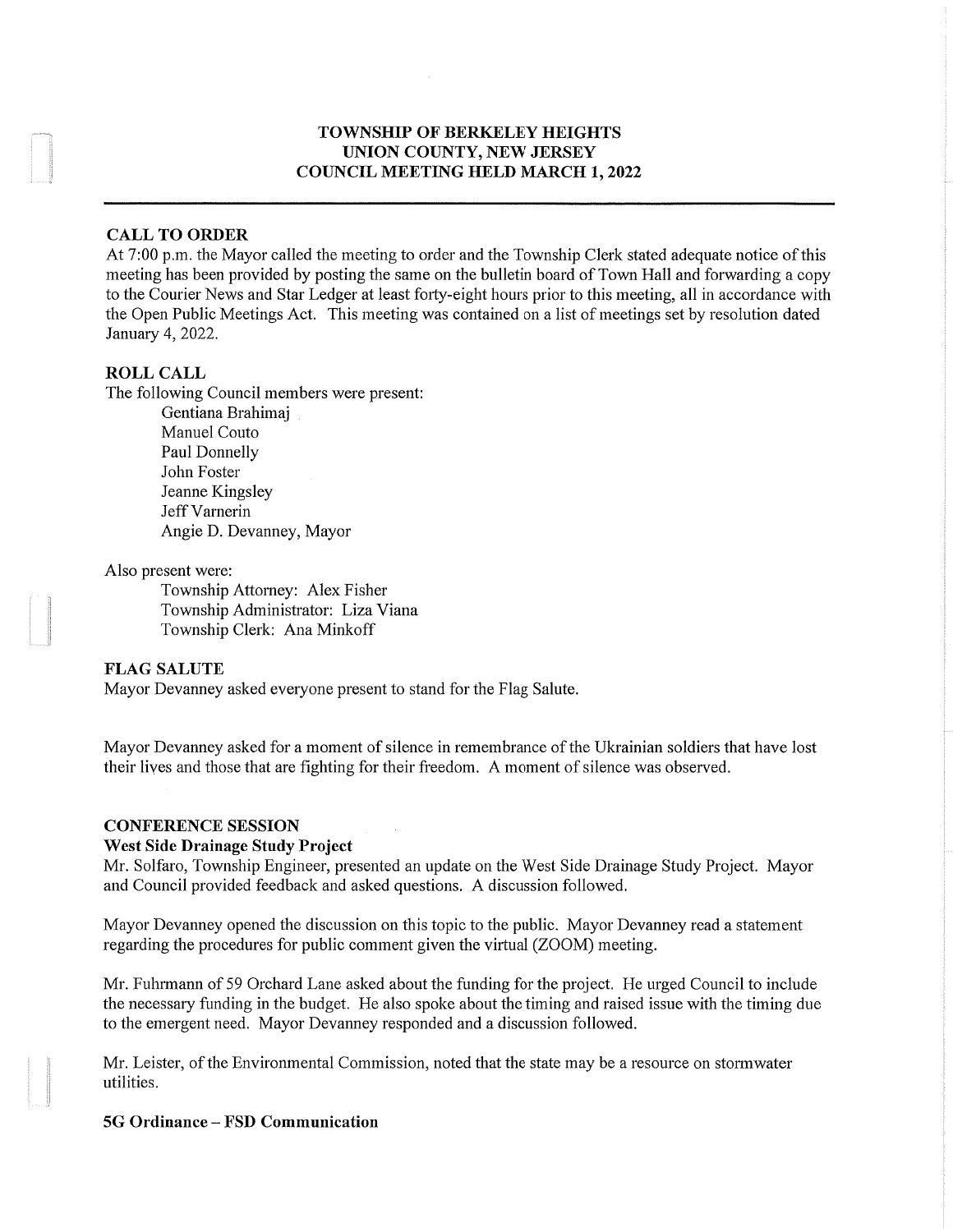### TOWNSHIP OF BERKELEY HEIGHTS UNION COUNTY, NEW JERSEY COUNCIL MEETING HELD MARCH 1, 2022

#### CALL TO ORDER

At 7:00 p.m. the Mayor called the meeting to order and the Township Clerk stated adequate notice of this meeting has been provided by posting the same on the bulletin board of Town Hall and forwarding a copy to the Courier News and Star Ledger at least forty-eight hours prior to this meeting, all in accordance with the Open Public Meetings Act. This meeting was contained on a list of meetings set by resolution dated January 4,2022.

### ROLL CALL

The following Council members were present:

Gentiana Brahimaj Manuel Couto Paul Donnelly John Foster Jeanne Kingsley Jeff Varnerin Angie D. Devanney, Mayor

Also present were:

Township Attorney: Alex Fisher Township Administrator: Liza Viana Township Clerk: Ana Minkoff

### FLAG SALUTE

Mayor Devanney asked everyone present to stand for the Flag Salute.

Mayor Devanney asked for a moment of silence in remembrance of the Ukrainian soldiers that have lost their lives and those that are fighting for their freedom. A moment of silence was observed.

#### CONFERENCE SESSION

#### West Side Drainage Study Project

Mr. Solfaro, Township Engineer, presented an update on the West Side Drainage Study Project. Mayor and Council provided feedback and asked questions. A discussion followed.

Mayor Devanney opened the discussion on this topic to the public. Mayor Devanney read a statement regarding the procedures for public comment given the virtual (ZOOM) meeting.

Mr. Fuhrmann of 59 Orchard Lane asked about the funding for the project. He urged Council to include the necessary funding in the budget. He also spoke about the timing and raised issue with the timing due to the emergent need. Mayor Devanney responded and a discussion followed.

Mr. Leister, of the Environmental Commission, noted that the state may be a resource on stormwater utilities.

5G Ordinance - FSD Communication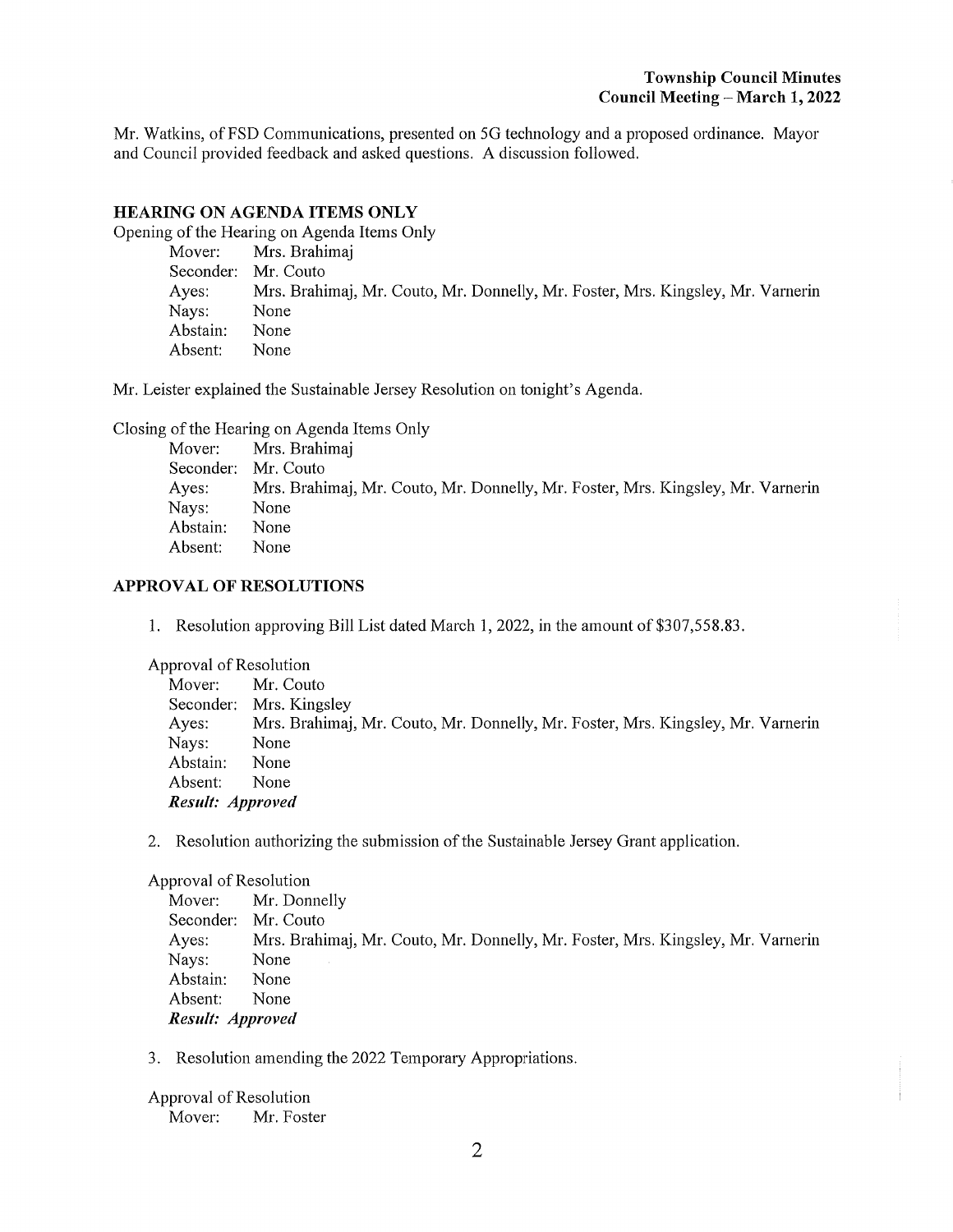Mr. Watkins, of FSD Communications, presented on 5G technology and a proposed ordinance. Mayor and Council provided feedback and asked questions. A discussion followed.

### HEARING ON AGENDA ITEMS ONLY

Opening of the Hearing on Agenda Items Only

|          | Mover: Mrs. Brahimaj                                                            |
|----------|---------------------------------------------------------------------------------|
|          | Seconder: Mr. Couto                                                             |
| Ayes:    | Mrs. Brahimaj, Mr. Couto, Mr. Donnelly, Mr. Foster, Mrs. Kingsley, Mr. Varnerin |
| Nays:    | None                                                                            |
| Abstain: | None                                                                            |
| Absent:  | None                                                                            |

Mr. Leister explained the Sustainable Jersey Resolution on tonight's Agenda.

Closing of the Hearing on Agenda Items Only

|          | Mover: Mrs. Brahimaj                                                            |
|----------|---------------------------------------------------------------------------------|
|          | Seconder: Mr. Couto                                                             |
| Ayes:    | Mrs. Brahimaj, Mr. Couto, Mr. Donnelly, Mr. Foster, Mrs. Kingsley, Mr. Varnerin |
| Nays:    | None                                                                            |
| Abstain: | None                                                                            |
| Absent:  | None                                                                            |

### APPROVAL OF RESOLUTIONS

1. Resolution approving Bill List dated March 1, 2022, in the amount of \$307,558.83.

Approval of Resolution

| Mover:           | Mr. Couto                                                                       |  |
|------------------|---------------------------------------------------------------------------------|--|
|                  | Seconder: Mrs. Kingsley                                                         |  |
| Ayes:            | Mrs. Brahimaj, Mr. Couto, Mr. Donnelly, Mr. Foster, Mrs. Kingsley, Mr. Varnerin |  |
| Nays:            | None                                                                            |  |
| Abstain:         | None                                                                            |  |
| Absent:          | None                                                                            |  |
| Result: Approved |                                                                                 |  |

2. Resolution authorizing the submission of the Sustainable Jersey Grant application.

#### Approval of Resolution

Mover: Mr. Donnelly Seconder: Mr. Couto Ayes: Mrs. Brahimaj, Mr. Couto, Mr. Donnelly, Mr. Foster, Mrs. Kingsley, Mr. Varnerin Nays: None Abstain: None Absent: None Result: Approved

3. Resolution amending the 2022 Temporary Appropriations.

Approval of Resolution Mover: Mr. Foster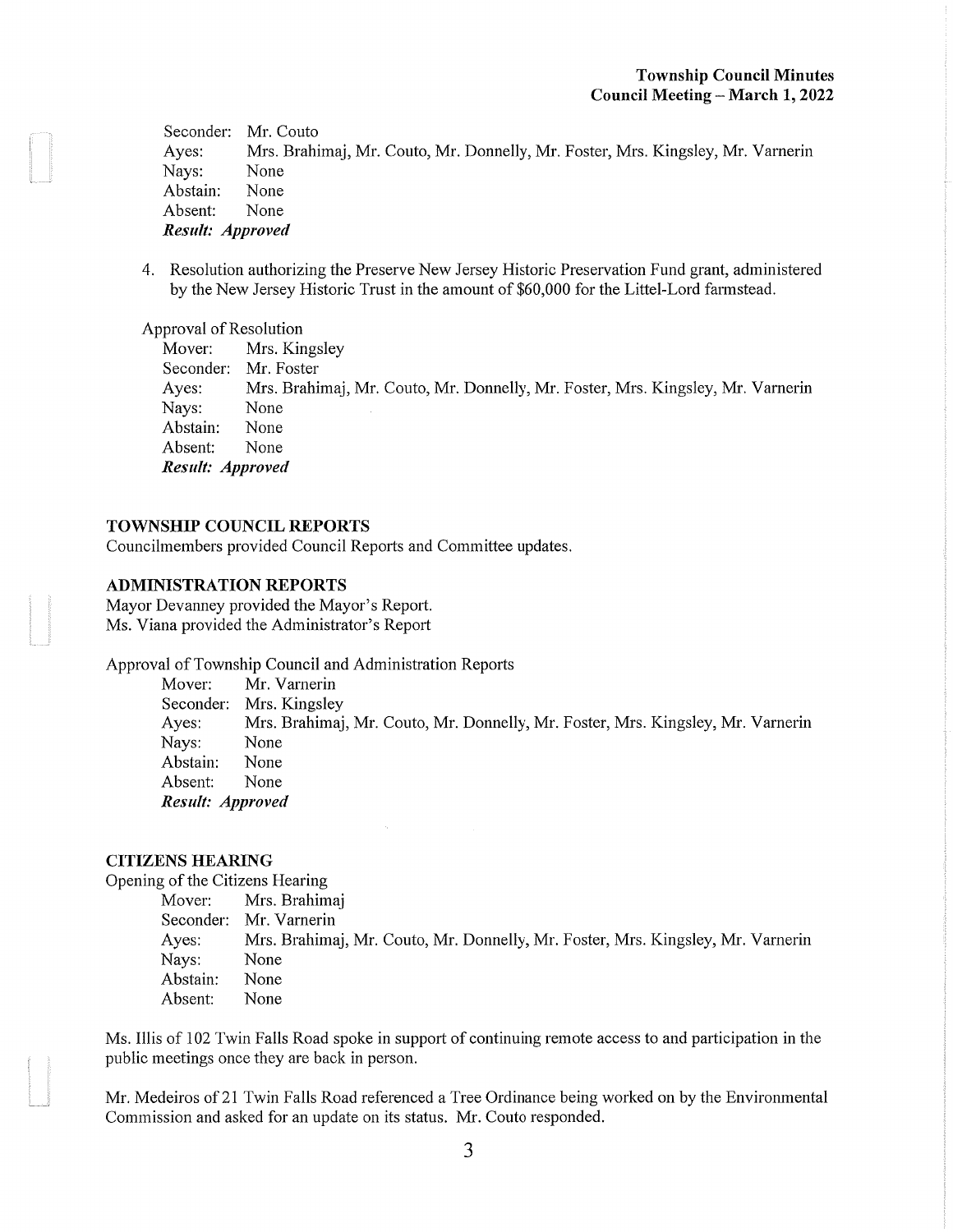Seconder: Mr. Couto Ayes: Mrs. Brahimaj, Mr. Couto, Mr. Donnelly, Mr. Foster, Mrs. Kingsley, Mr. Varnerin Nays: None Abstain: None Absent: None Result: Approved

4. Resolution authorizing the Preserve New Jersey Historic Preservation Fund grant, administered by the New Jersey Historic Trust in the amount of \$60,000 for the Littel-Lord farmstead.

#### Approval of Resolution

Mover: Mrs. Kingsley Seconder: Mr. Foster Ayes: Mrs. Brahimaj, Mr. Couto, Mr. Donnelly, Mr. Foster, Mrs. Kingsley, Mr. Varnerin Nays: None Abstain: None Absent: None Result: Approved

#### TOWNSHIP COUNCIL REPORTS

Councilmembers provided Council Reports and Committee updates.

### ADMINISTRATION REPORTS

Mayor Devanney provided the Mayor's Report. Ms. Viana provided the Administrator's Report

Approval of Township Council and Administration Reports

Mover: Mr. Varnerin Seconder: Mrs. Kingsley Ayes: Mrs. Brahimaj, Mr. Couto, Mr. Donnelly, Mr. Foster, Mrs. Kingsley, Mr. Varnerin Nays: None Abstain: None Absent: None Result: Approved

#### CITIZENS HEARING

Opening of the Citizens Hearing

Mover: Mrs. Brahimaj Seconder: Mr. Varnerin Ayes: Mrs. Brahimaj, Mr. Couto, Mr. Donnelly, Mr. Foster, Mrs. Kingsley, Mr. Varnerin Nays: None Abstain: None Absent: None

Ms. Illis of 102 Twin Falls Road spoke in support of continuing remote access to and participation in the public meetings once they are back in person.

Mr. Medeiros of 21 Twin Falls Road referenced a Tree Ordinance being worked on by the Environmental Commission and asked for an update on its status. Mr. Couto responded.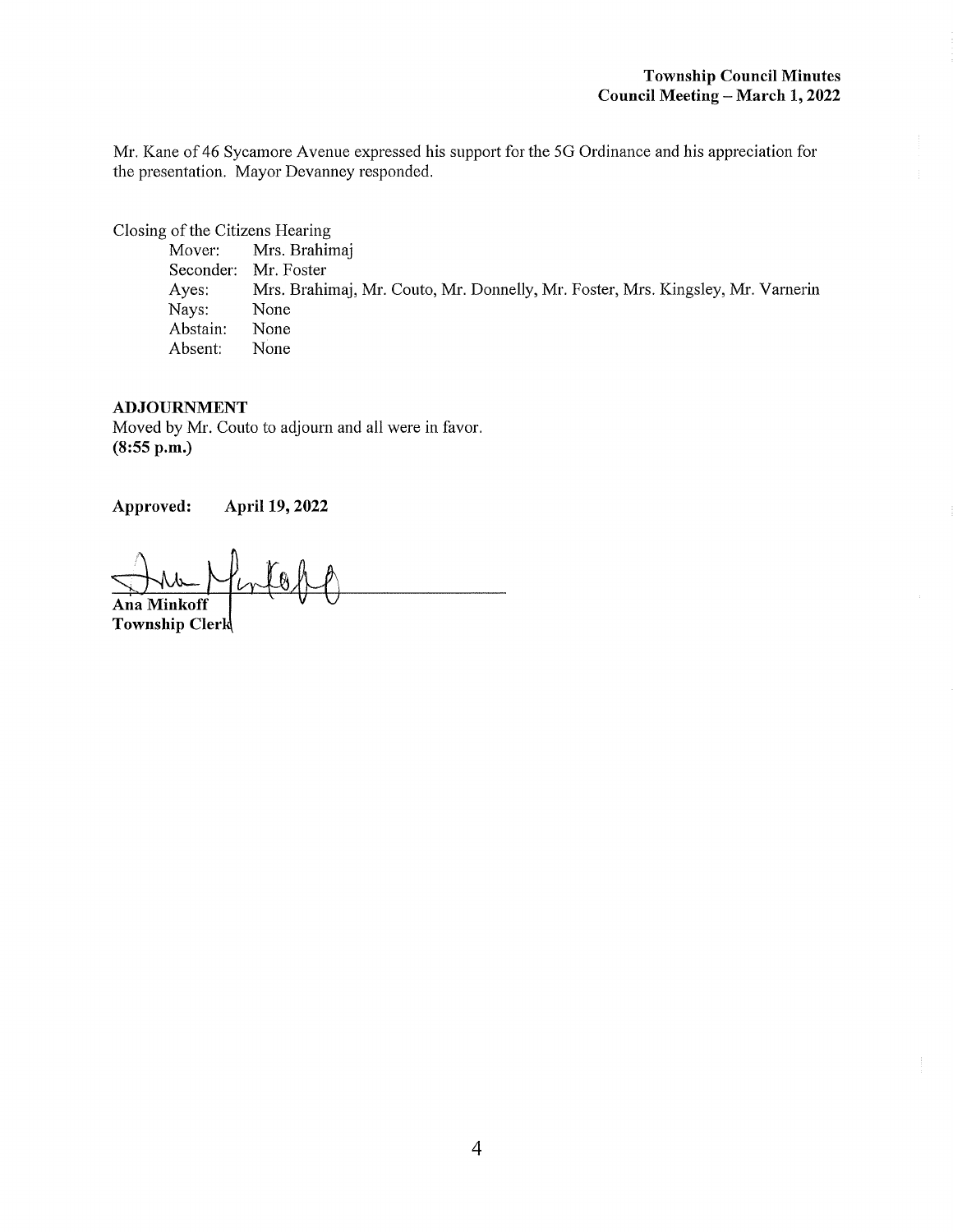Mr. Kane of 46 Sycamore Avenue expressed his support for the 5G Ordinance and his appreciation for the presentation. Mayor Devanney responded.

Closing of the Citizens Hearing<br>Mover: Mrs. Brahin

Mrs. Brahimaj Seconder: Mr. Foster Ayes: Mrs. Brahimaj, Mr. Couto, Mr. Donnelly, Mr. Foster, Mrs. Kingsley, Mr. Varnerin Nays: None Abstain: None Absent: None

#### ADJOURNMENT

Moved by Mr. Couto to adjourn and all were in favor. (8:55 p.m.)

Approved: April 19, 2022

Ana Minkoff Township Clerk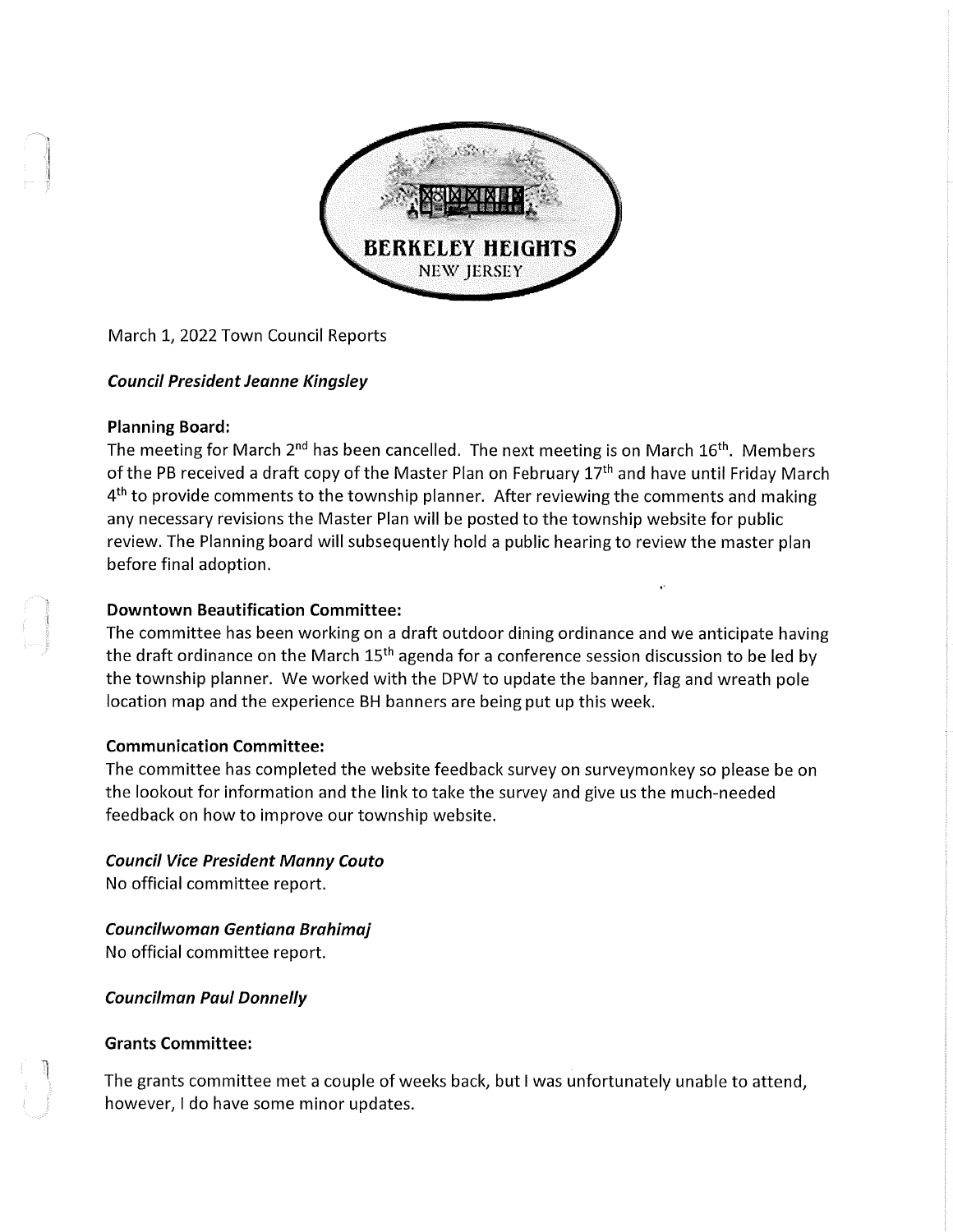

March 1, 2022 Town Council Reports

# Council President Jeanne Kingsley

## Planning Board:

The meeting for March 2<sup>nd</sup> has been cancelled. The next meeting is on March 16<sup>th</sup>. Members of the PB received a draft copy of the Master Plan on February 17<sup>th</sup> and have until Friday March  $4<sup>th</sup>$  to provide comments to the township planner. After reviewing the comments and making any necessary revisions the Master Plan will be posted to the township website for public review. The Planning board will subsequently hold a public hearing to review the master plan before final adoption.

### Downtown Beautification Committee:

The committee has been working on a draft outdoor dining ordinance and we anticipate having the draft ordinance on the March 15<sup>th</sup> agenda for a conference session discussion to be led by the township planner. We worked with the DPW to update the banner, flag and wreath pole location map and the experience BH banners are being put up this week.

## Communication Committee:

The committee has completed the website feedback survey on surveymonkey so please be on the lookout for information and the link to take the survey and give us the much-needed feedback on how to improve our township website.

Council Vice President Manny Couto No official committee report.

Councilwoman Gentiana Brahimaj No official committee report.

Councilman Paul Donnelly

## Grants Committee:

The grants committee met a couple of weeks back, but I was unfortunately unable to attend, however, I do have some minor updates.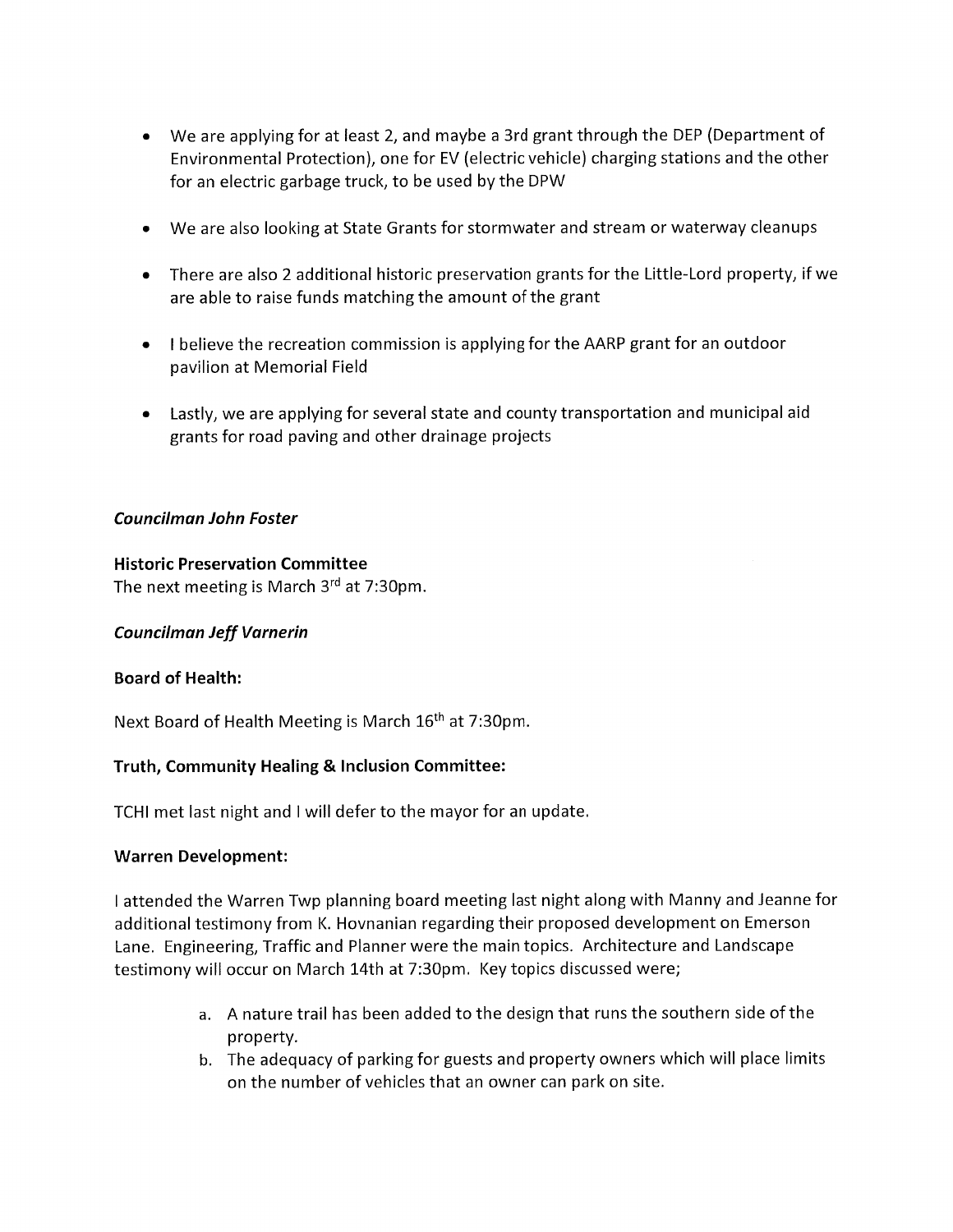- We are applying for at least 2, and maybe a 3rd grant through the DEP (Department of Environmental Protection), one for EV (electric vehicle) charging stations and the other for an electric garbage truck, to be used by the DPW
- We are also looking at State Grants for stormwater and stream or waterway cleanups
- There are also 2 additional historic preservation grants for the Little-Lord property, if we are able to raise funds matching the amount of the grant
- I believe the recreation commission is applying for the AARP grant for an outdoor pavilion at Memorial Field
- Lastly, we are applying for several state and county transportation and municipal aid grants for road paving and other drainage projects

## Councilman John Foster

## Historic Preservation Committee

The next meeting is March 3rd at 7:30pm.

# Councilman Jeff Varnerin

# Board of Health:

Next Board of Health Meeting is March 16<sup>th</sup> at 7:30pm.

# Truth, Community Healing & Inclusion Committee:

TCHI met last night and I will defer to the mayor for an update.

## Warren Development:

I attended the Warren Twp planning board meeting last night along with Manny and Jeanne for additional testimony from K. Hovnanian regarding their proposed development on Emerson Lane. Engineering, Traffic and Planner were the main topics. Architecture and Landscape testimony will occur on March 14th at 7:30pm. Key topics discussed were;

- a. A nature trail has been added to the design that runs the southern side of the property.
- b. The adequacy of parking for guests and property owners which will place limits on the number of vehicles that an owner can park on site.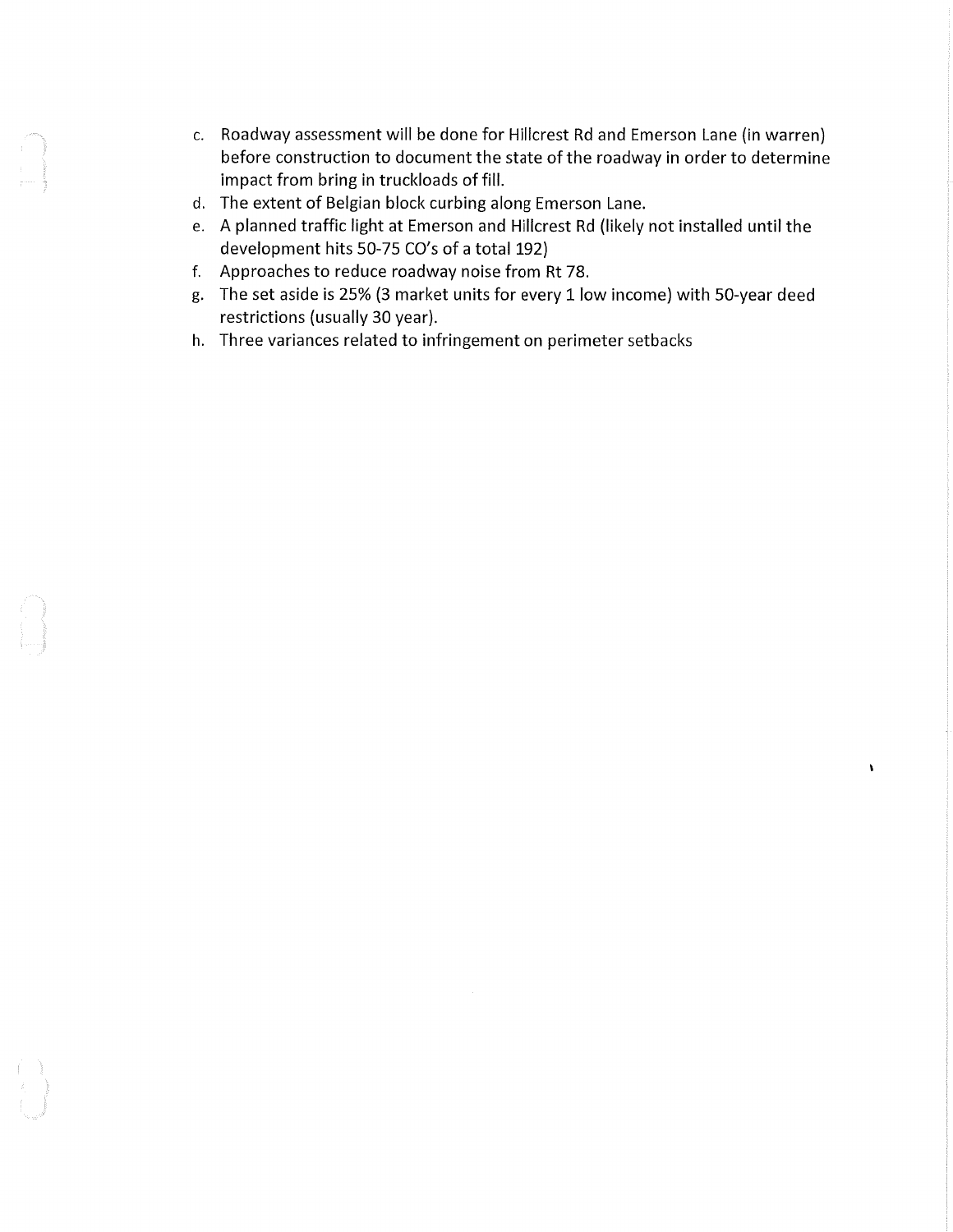- c. Roadway assessment will be done for Hillcrest Rd and Emerson Lane (in warren) before construction to document the state of the roadway in order to determine impact from bring in truckloads of fill.
- d. The extent of Belgian block curbing along Emerson Lane.
- e. A planned traffic light at Emerson and Hillcrest Rd (likely not installed until the development hits 50-75 CO's of a total 192)
- f. Approaches to reduce roadway noise from Rt 78.
- g. The set aside is 25% (3 market units for every 1 low income) with 50-year deed restrictions (usually 30 year).

 $\bar{1}$ 

h. Three variances related to infringement on perimeter setbacks